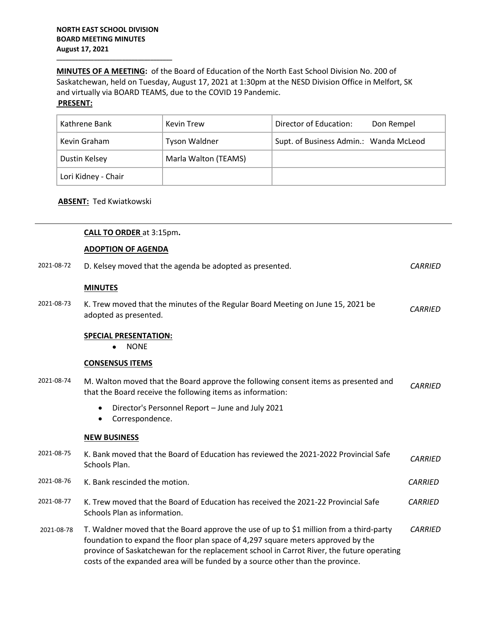**\_\_\_\_\_\_\_\_\_\_\_\_\_\_\_\_\_\_\_\_\_\_\_\_\_\_\_\_\_\_\_\_\_\_\_\_\_**

**MINUTES OF A MEETING:** of the Board of Education of the North East School Division No. 200 of Saskatchewan, held on Tuesday, August 17, 2021 at 1:30pm at the NESD Division Office in Melfort, SK and virtually via BOARD TEAMS, due to the COVID 19 Pandemic.

## **PRESENT:**

| Kathrene Bank       | <b>Kevin Trew</b>    | Director of Education:<br>Don Rempel   |
|---------------------|----------------------|----------------------------------------|
| Kevin Graham        | <b>Tyson Waldner</b> | Supt. of Business Admin.: Wanda McLeod |
| Dustin Kelsey       | Marla Walton (TEAMS) |                                        |
| Lori Kidney - Chair |                      |                                        |

## **ABSENT:** Ted Kwiatkowski

|            | CALL TO ORDER at 3:15pm.                                                                                                                                                                                                                                                                                                                                   |                |
|------------|------------------------------------------------------------------------------------------------------------------------------------------------------------------------------------------------------------------------------------------------------------------------------------------------------------------------------------------------------------|----------------|
|            | <b>ADOPTION OF AGENDA</b>                                                                                                                                                                                                                                                                                                                                  |                |
| 2021-08-72 | D. Kelsey moved that the agenda be adopted as presented.                                                                                                                                                                                                                                                                                                   | <b>CARRIED</b> |
|            | <b>MINUTES</b>                                                                                                                                                                                                                                                                                                                                             |                |
| 2021-08-73 | K. Trew moved that the minutes of the Regular Board Meeting on June 15, 2021 be<br>adopted as presented.                                                                                                                                                                                                                                                   | <b>CARRIED</b> |
|            | <b>SPECIAL PRESENTATION:</b><br><b>NONE</b>                                                                                                                                                                                                                                                                                                                |                |
|            | <b>CONSENSUS ITEMS</b>                                                                                                                                                                                                                                                                                                                                     |                |
| 2021-08-74 | M. Walton moved that the Board approve the following consent items as presented and<br>that the Board receive the following items as information:                                                                                                                                                                                                          | <b>CARRIED</b> |
|            | Director's Personnel Report - June and July 2021<br>$\bullet$<br>Correspondence.<br>$\bullet$                                                                                                                                                                                                                                                              |                |
|            | <b>NEW BUSINESS</b>                                                                                                                                                                                                                                                                                                                                        |                |
| 2021-08-75 | K. Bank moved that the Board of Education has reviewed the 2021-2022 Provincial Safe<br>Schools Plan.                                                                                                                                                                                                                                                      | <b>CARRIED</b> |
| 2021-08-76 | K. Bank rescinded the motion.                                                                                                                                                                                                                                                                                                                              | <b>CARRIED</b> |
| 2021-08-77 | K. Trew moved that the Board of Education has received the 2021-22 Provincial Safe<br>Schools Plan as information.                                                                                                                                                                                                                                         | <b>CARRIED</b> |
| 2021-08-78 | T. Waldner moved that the Board approve the use of up to \$1 million from a third-party<br>foundation to expand the floor plan space of 4,297 square meters approved by the<br>province of Saskatchewan for the replacement school in Carrot River, the future operating<br>costs of the expanded area will be funded by a source other than the province. | <b>CARRIED</b> |